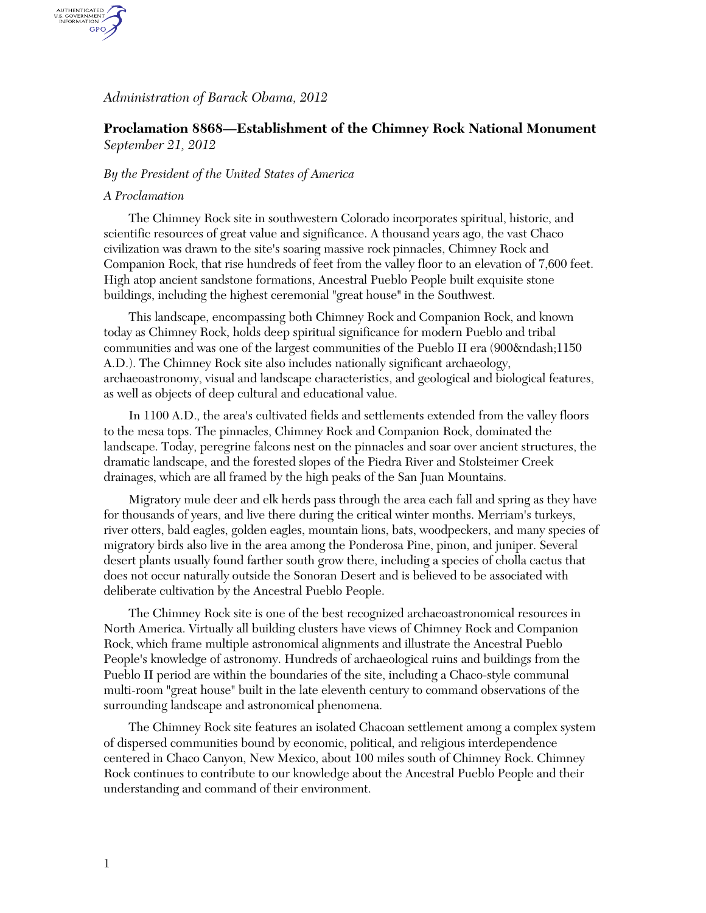## *Administration of Barack Obama, 2012*

# **Proclamation 8868—Establishment of the Chimney Rock National Monument**  *September 21, 2012*

### *By the President of the United States of America*

#### *A Proclamation*

AUTHENTICATED<br>U.S. GOVERNMENT<br>INFORMATION GPO

> The Chimney Rock site in southwestern Colorado incorporates spiritual, historic, and scientific resources of great value and significance. A thousand years ago, the vast Chaco civilization was drawn to the site's soaring massive rock pinnacles, Chimney Rock and Companion Rock, that rise hundreds of feet from the valley floor to an elevation of 7,600 feet. High atop ancient sandstone formations, Ancestral Pueblo People built exquisite stone buildings, including the highest ceremonial "great house" in the Southwest.

> This landscape, encompassing both Chimney Rock and Companion Rock, and known today as Chimney Rock, holds deep spiritual significance for modern Pueblo and tribal communities and was one of the largest communities of the Pueblo II era (900–1150 A.D.). The Chimney Rock site also includes nationally significant archaeology, archaeoastronomy, visual and landscape characteristics, and geological and biological features, as well as objects of deep cultural and educational value.

> In 1100 A.D., the area's cultivated fields and settlements extended from the valley floors to the mesa tops. The pinnacles, Chimney Rock and Companion Rock, dominated the landscape. Today, peregrine falcons nest on the pinnacles and soar over ancient structures, the dramatic landscape, and the forested slopes of the Piedra River and Stolsteimer Creek drainages, which are all framed by the high peaks of the San Juan Mountains.

> Migratory mule deer and elk herds pass through the area each fall and spring as they have for thousands of years, and live there during the critical winter months. Merriam's turkeys, river otters, bald eagles, golden eagles, mountain lions, bats, woodpeckers, and many species of migratory birds also live in the area among the Ponderosa Pine, pinon, and juniper. Several desert plants usually found farther south grow there, including a species of cholla cactus that does not occur naturally outside the Sonoran Desert and is believed to be associated with deliberate cultivation by the Ancestral Pueblo People.

The Chimney Rock site is one of the best recognized archaeoastronomical resources in North America. Virtually all building clusters have views of Chimney Rock and Companion Rock, which frame multiple astronomical alignments and illustrate the Ancestral Pueblo People's knowledge of astronomy. Hundreds of archaeological ruins and buildings from the Pueblo II period are within the boundaries of the site, including a Chaco-style communal multi-room "great house" built in the late eleventh century to command observations of the surrounding landscape and astronomical phenomena.

The Chimney Rock site features an isolated Chacoan settlement among a complex system of dispersed communities bound by economic, political, and religious interdependence centered in Chaco Canyon, New Mexico, about 100 miles south of Chimney Rock. Chimney Rock continues to contribute to our knowledge about the Ancestral Pueblo People and their understanding and command of their environment.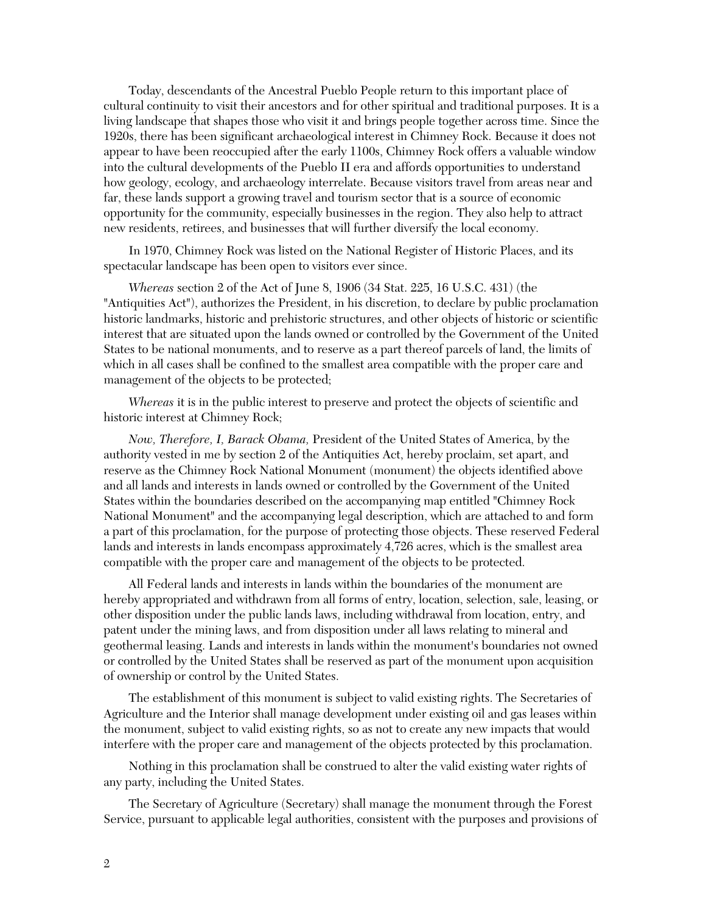Today, descendants of the Ancestral Pueblo People return to this important place of cultural continuity to visit their ancestors and for other spiritual and traditional purposes. It is a living landscape that shapes those who visit it and brings people together across time. Since the 1920s, there has been significant archaeological interest in Chimney Rock. Because it does not appear to have been reoccupied after the early 1100s, Chimney Rock offers a valuable window into the cultural developments of the Pueblo II era and affords opportunities to understand how geology, ecology, and archaeology interrelate. Because visitors travel from areas near and far, these lands support a growing travel and tourism sector that is a source of economic opportunity for the community, especially businesses in the region. They also help to attract new residents, retirees, and businesses that will further diversify the local economy.

In 1970, Chimney Rock was listed on the National Register of Historic Places, and its spectacular landscape has been open to visitors ever since.

*Whereas* section 2 of the Act of June 8, 1906 (34 Stat. 225, 16 U.S.C. 431) (the "Antiquities Act"), authorizes the President, in his discretion, to declare by public proclamation historic landmarks, historic and prehistoric structures, and other objects of historic or scientific interest that are situated upon the lands owned or controlled by the Government of the United States to be national monuments, and to reserve as a part thereof parcels of land, the limits of which in all cases shall be confined to the smallest area compatible with the proper care and management of the objects to be protected;

*Whereas* it is in the public interest to preserve and protect the objects of scientific and historic interest at Chimney Rock;

*Now, Therefore, I, Barack Obama,* President of the United States of America, by the authority vested in me by section 2 of the Antiquities Act, hereby proclaim, set apart, and reserve as the Chimney Rock National Monument (monument) the objects identified above and all lands and interests in lands owned or controlled by the Government of the United States within the boundaries described on the accompanying map entitled "Chimney Rock National Monument" and the accompanying legal description, which are attached to and form a part of this proclamation, for the purpose of protecting those objects. These reserved Federal lands and interests in lands encompass approximately 4,726 acres, which is the smallest area compatible with the proper care and management of the objects to be protected.

All Federal lands and interests in lands within the boundaries of the monument are hereby appropriated and withdrawn from all forms of entry, location, selection, sale, leasing, or other disposition under the public lands laws, including withdrawal from location, entry, and patent under the mining laws, and from disposition under all laws relating to mineral and geothermal leasing. Lands and interests in lands within the monument's boundaries not owned or controlled by the United States shall be reserved as part of the monument upon acquisition of ownership or control by the United States.

The establishment of this monument is subject to valid existing rights. The Secretaries of Agriculture and the Interior shall manage development under existing oil and gas leases within the monument, subject to valid existing rights, so as not to create any new impacts that would interfere with the proper care and management of the objects protected by this proclamation.

Nothing in this proclamation shall be construed to alter the valid existing water rights of any party, including the United States.

The Secretary of Agriculture (Secretary) shall manage the monument through the Forest Service, pursuant to applicable legal authorities, consistent with the purposes and provisions of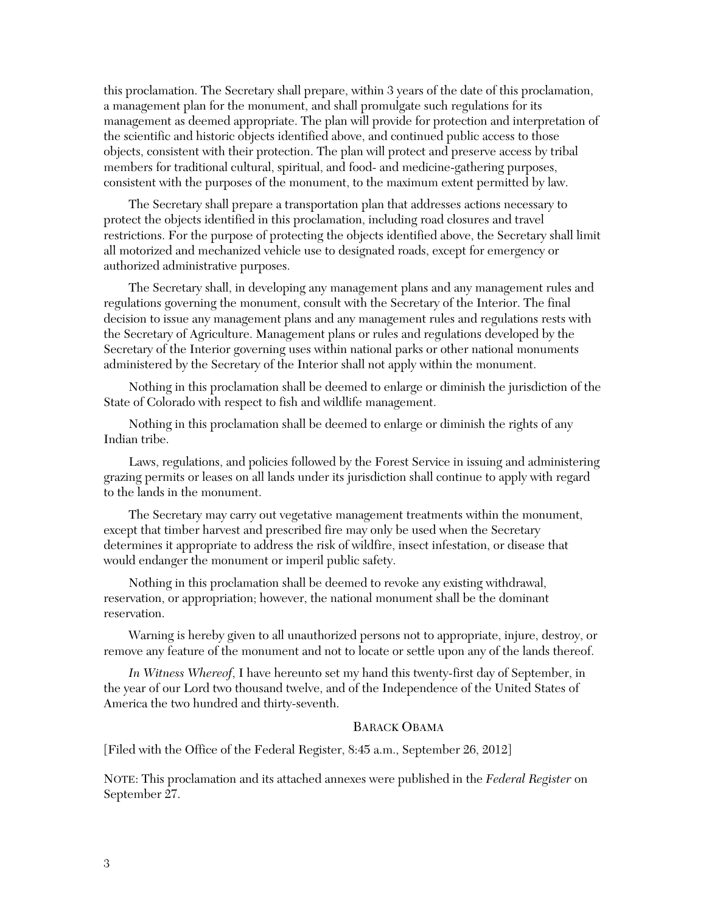this proclamation. The Secretary shall prepare, within 3 years of the date of this proclamation, a management plan for the monument, and shall promulgate such regulations for its management as deemed appropriate. The plan will provide for protection and interpretation of the scientific and historic objects identified above, and continued public access to those objects, consistent with their protection. The plan will protect and preserve access by tribal members for traditional cultural, spiritual, and food- and medicine-gathering purposes, consistent with the purposes of the monument, to the maximum extent permitted by law.

The Secretary shall prepare a transportation plan that addresses actions necessary to protect the objects identified in this proclamation, including road closures and travel restrictions. For the purpose of protecting the objects identified above, the Secretary shall limit all motorized and mechanized vehicle use to designated roads, except for emergency or authorized administrative purposes.

The Secretary shall, in developing any management plans and any management rules and regulations governing the monument, consult with the Secretary of the Interior. The final decision to issue any management plans and any management rules and regulations rests with the Secretary of Agriculture. Management plans or rules and regulations developed by the Secretary of the Interior governing uses within national parks or other national monuments administered by the Secretary of the Interior shall not apply within the monument.

Nothing in this proclamation shall be deemed to enlarge or diminish the jurisdiction of the State of Colorado with respect to fish and wildlife management.

Nothing in this proclamation shall be deemed to enlarge or diminish the rights of any Indian tribe.

Laws, regulations, and policies followed by the Forest Service in issuing and administering grazing permits or leases on all lands under its jurisdiction shall continue to apply with regard to the lands in the monument.

The Secretary may carry out vegetative management treatments within the monument, except that timber harvest and prescribed fire may only be used when the Secretary determines it appropriate to address the risk of wildfire, insect infestation, or disease that would endanger the monument or imperil public safety.

Nothing in this proclamation shall be deemed to revoke any existing withdrawal, reservation, or appropriation; however, the national monument shall be the dominant reservation.

Warning is hereby given to all unauthorized persons not to appropriate, injure, destroy, or remove any feature of the monument and not to locate or settle upon any of the lands thereof.

*In Witness Whereof*, I have hereunto set my hand this twenty-first day of September, in the year of our Lord two thousand twelve, and of the Independence of the United States of America the two hundred and thirty-seventh.

#### BARACK OBAMA

[Filed with the Office of the Federal Register, 8:45 a.m., September 26, 2012]

NOTE: This proclamation and its attached annexes were published in the *Federal Register* on September 27.